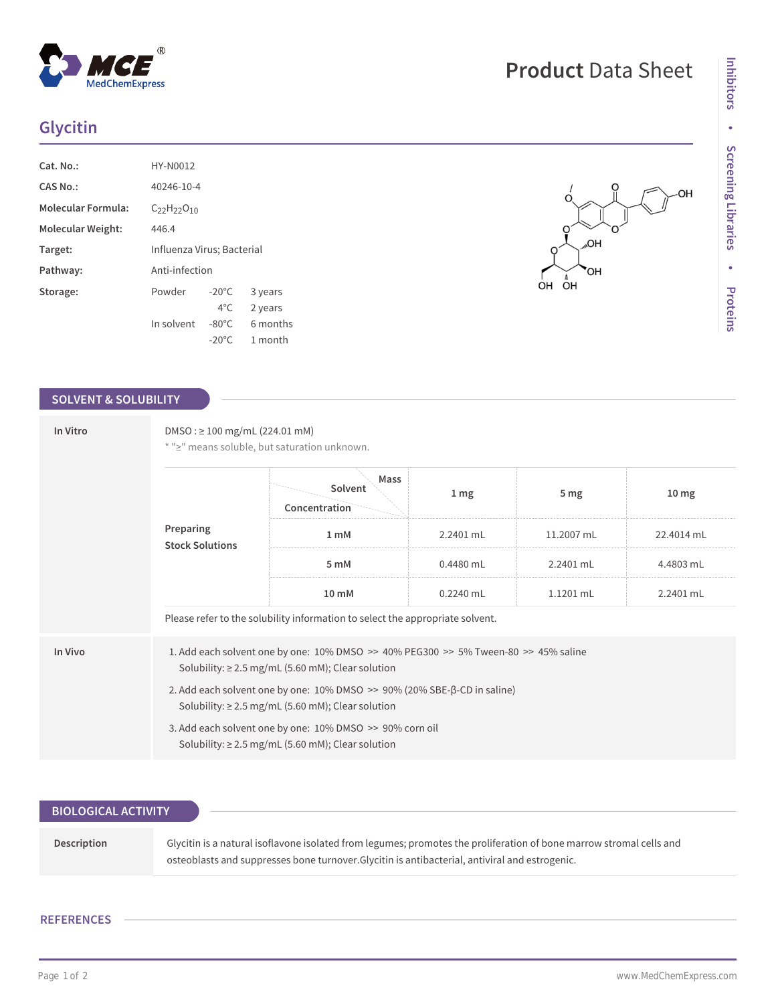## **Glycitin**

| Cat. No.:                 | HY-N0012                   |                 |          |
|---------------------------|----------------------------|-----------------|----------|
| CAS No.:                  | 40246-10-4                 |                 |          |
| <b>Molecular Formula:</b> | $C_{22}H_{22}O_{10}$       |                 |          |
| <b>Molecular Weight:</b>  | 446.4                      |                 |          |
| Target:                   | Influenza Virus; Bacterial |                 |          |
| Pathway:                  | Anti-infection             |                 |          |
| Storage:                  | Powder                     | $-20^{\circ}$ C | 3 years  |
|                           |                            | $4^{\circ}$ C.  | 2 years  |
|                           | In solvent                 | $-80^{\circ}$ C | 6 months |
|                           |                            | $-20^{\circ}$ C | 1 month  |

### **SOLVENT & SOLUBILITY**

| In Vitro | $DMSO: \geq 100$ mg/mL (224.01 mM)<br>* ">" means soluble, but saturation unknown. |                                                                                                                                                  |                 |                 |                  |  |
|----------|------------------------------------------------------------------------------------|--------------------------------------------------------------------------------------------------------------------------------------------------|-----------------|-----------------|------------------|--|
|          |                                                                                    | Mass<br>Solvent<br>Concentration                                                                                                                 | 1 <sub>mg</sub> | 5 <sub>mg</sub> | 10 <sub>mg</sub> |  |
|          | Preparing<br><b>Stock Solutions</b>                                                | 1 <sub>m</sub> M                                                                                                                                 | 2.2401 mL       | 11.2007 mL      | 22.4014 mL       |  |
|          |                                                                                    | 5 mM                                                                                                                                             | $0.4480$ mL     | 2.2401 mL       | 4.4803 mL        |  |
|          |                                                                                    | 10 mM                                                                                                                                            | $0.2240$ mL     | $1.1201$ mL     | 2.2401 mL        |  |
|          |                                                                                    | Please refer to the solubility information to select the appropriate solvent.                                                                    |                 |                 |                  |  |
| In Vivo  |                                                                                    | 1. Add each solvent one by one: 10% DMSO >> 40% PEG300 >> 5% Tween-80 >> 45% saline<br>Solubility: $\geq$ 2.5 mg/mL (5.60 mM); Clear solution    |                 |                 |                  |  |
|          |                                                                                    | 2. Add each solvent one by one: $10\%$ DMSO $\gg$ 90% (20% SBE- $\beta$ -CD in saline)<br>Solubility: $\geq$ 2.5 mg/mL (5.60 mM); Clear solution |                 |                 |                  |  |
|          |                                                                                    | 3. Add each solvent one by one: 10% DMSO >> 90% corn oil<br>Solubility: $\geq$ 2.5 mg/mL (5.60 mM); Clear solution                               |                 |                 |                  |  |

| Glycitin is a natural isoflavone isolated from legumes; promotes the proliferation of bone marrow stromal cells and<br>osteoblasts and suppresses bone turnover. Glycitin is antibacterial, antiviral and estrogenic. |
|-----------------------------------------------------------------------------------------------------------------------------------------------------------------------------------------------------------------------|
|                                                                                                                                                                                                                       |

### **REFERENCES**

# **Product** Data Sheet